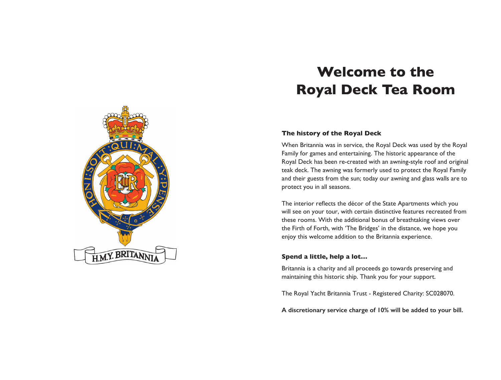# **Welcome to the Royal Deck Tea Room**



### **The history of the Royal Deck**

When Britannia was in service, the Royal Deck was used by the Royal Family for games and entertaining. The historic appearance of the Royal Deck has been re-created with an awning-style roof and original teak deck. The awning was formerly used to protect the Royal Family and their guests from the sun; today our awning and glass walls are to protect you in all seasons.

The interior reflects the décor of the State Apartments which you will see on your tour, with certain distinctive features recreated from these rooms. With the additional bonus of breathtaking views over the Firth of Forth, with 'The Bridges' in the distance, we hope you enjoy this welcome addition to the Britannia experience.

#### **Spend a little, help a lot…**

Britannia is a charity and all proceeds go towards preserving and maintaining this historic ship. Thank you for your support.

The Royal Yacht Britannia Trust - Registered Charity: SC028070.

**A discretionary service charge of 10% will be added to your bill.**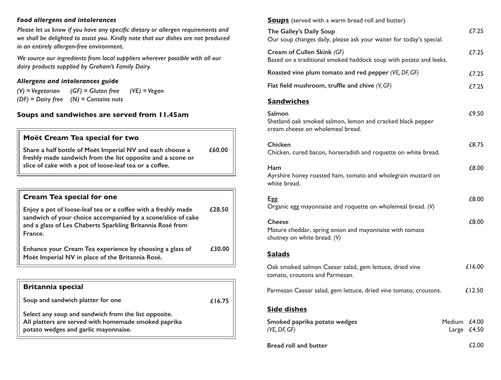#### *Food allergens and intolerances*

*Please let us know if you have any specific dietary or allergen requirements and we shall be delighted to assist you. Kindly note that our dishes are not produced in an entirely allergen-free environment.*

*We source our ingredients from local suppliers wherever possible with all our dairy products supplied by Graham's Family Dairy.* 

### *Allergens and intolerances guide*

*(GF) = Gluten free (N) = Contains nuts (DF) = Dairy free (V) = Vegetarian (VE) = Vegan*

## **Soups and sandwiches are served from 11.45am**

## **Moët Cream Tea special for two**

**Share a half bottle of Moët Imperial NV and each choose a freshly made sandwich from the list opposite and a scone or slice of cake with a pot of loose-leaf tea or a coffee. £60.00**

| <b>Cream Tea special for one</b>                                                                                                                                                                      |        |
|-------------------------------------------------------------------------------------------------------------------------------------------------------------------------------------------------------|--------|
| Enjoy a pot of loose-leaf tea or a coffee with a freshly made<br>sandwich of your choice accompanied by a scone/slice of cake<br>and a glass of Les Chaberts Sparkling Britannia Rosé from<br>France. | £28.50 |
| Enhance your Cream Tea experience by choosing a glass of<br>Moët Imperial NV in place of the Britannia Rosé.                                                                                          | £30.00 |

## **Britannia special**

| Soup and sandwich platter for one                                                                                                                    | £16.75 |
|------------------------------------------------------------------------------------------------------------------------------------------------------|--------|
| Select any soup and sandwich from the list opposite.<br>All platters are served with homemade smoked paprika<br>potato wedges and garlic mayonnaise. |        |

**Soups** (served with a warm bread roll and butter)

| The Galley's Daily Soup<br>Our soup changes daily, please ask your waiter for today's special.           | £7.25                          |
|----------------------------------------------------------------------------------------------------------|--------------------------------|
| Cream of Cullen Skink (GF)<br>Based on a traditional smoked haddock soup with potato and leeks.          | £7.25                          |
| Roasted vine plum tomato and red pepper (VE, DF, GF)                                                     | £7.25                          |
| Flat field mushroom, truffle and chive $(V, GF)$                                                         | £7.25                          |
| <b>Sandwiches</b>                                                                                        |                                |
| Salmon<br>Shetland oak smoked salmon, lemon and cracked black pepper<br>cream cheese on wholemeal bread. | £9.50                          |
| <b>Chicken</b><br>Chicken, cured bacon, horseradish and roquette on white bread.                         | £8.75                          |
| Ham<br>Ayrshire honey roasted ham, tomato and wholegrain mustard on<br>white bread.                      | £8.00                          |
| Egg<br>Organic egg mayonnaise and roquette on wholemeal bread. (V)                                       | £8.00                          |
| <b>Cheese</b><br>Mature cheddar, spring onion and mayonnaise with tomato<br>chutney on white bread. (V)  | £8.00                          |
| <b>Salads</b>                                                                                            |                                |
| Oak smoked salmon Caesar salad, gem lettuce, dried vine<br>tomato, croutons and Parmesan.                | £16.00                         |
| Parmesan Caesar salad, gem lettuce, dried vine tomato, croutons.                                         | £12.50                         |
| <b>Side dishes</b>                                                                                       |                                |
| Smoked paprika potato wedges<br>(VE, DF, GF)                                                             | Medium £4.00<br>£4.50<br>Large |
| <b>Bread roll and butter</b>                                                                             | £2.00                          |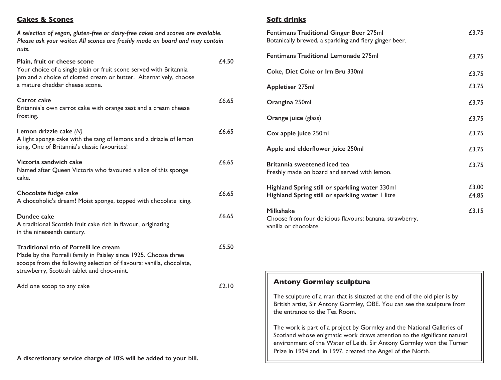## **Cakes & Scones**

*A selection of vegan, gluten-free or dairy-free cakes and scones are available. Please ask your waiter. All scones are freshly made on board and may contain nuts.*

| Plain, fruit or cheese scone<br>Your choice of a single plain or fruit scone served with Britannia<br>jam and a choice of clotted cream or butter. Alternatively, choose<br>a mature cheddar cheese scone.                      | £4.50 |
|---------------------------------------------------------------------------------------------------------------------------------------------------------------------------------------------------------------------------------|-------|
| Carrot cake<br>Britannia's own carrot cake with orange zest and a cream cheese<br>frosting.                                                                                                                                     | £6.65 |
| Lemon drizzle cake (N)<br>A light sponge cake with the tang of lemons and a drizzle of lemon<br>icing. One of Britannia's classic favourites!                                                                                   | £6.65 |
| Victoria sandwich cake<br>Named after Queen Victoria who favoured a slice of this sponge<br>cake.                                                                                                                               | £6.65 |
| Chocolate fudge cake<br>A chocoholic's dream! Moist sponge, topped with chocolate icing.                                                                                                                                        | £6.65 |
| Dundee cake<br>A traditional Scottish fruit cake rich in flavour, originating<br>in the nineteenth century.                                                                                                                     | £6.65 |
| Traditional trio of Porrelli ice cream<br>Made by the Porrelli family in Paisley since 1925. Choose three<br>scoops from the following selection of flavours: vanilla, chocolate,<br>strawberry, Scottish tablet and choc-mint. | £5.50 |
| Add one scoop to any cake                                                                                                                                                                                                       | £2.10 |

#### **A discretionary service charge of 10% will be added to your bill.**

## **Soft drinks**

| Fentimans Traditional Ginger Beer 275ml<br>Botanically brewed, a sparkling and fiery ginger beer.     | £3.75          |
|-------------------------------------------------------------------------------------------------------|----------------|
| <b>Fentimans Traditional Lemonade 275ml</b>                                                           | £3.75          |
| Coke, Diet Coke or Irn Bru 330ml                                                                      | £3.75          |
| <b>Appletiser 275ml</b>                                                                               | £3.75          |
| Orangina 250ml                                                                                        | £3.75          |
| Orange juice (glass)                                                                                  | £3.75          |
| Cox apple juice 250ml                                                                                 | £3.75          |
| Apple and elderflower juice 250ml                                                                     | £3.75          |
| Britannia sweetened iced tea<br>Freshly made on board and served with lemon.                          | £3.75          |
| Highland Spring still or sparkling water 330ml<br>Highland Spring still or sparkling water I litre    | £3.00<br>£4.85 |
| <b>Milkshake</b><br>Choose from four delicious flavours: banana, strawberry,<br>vanilla or chocolate. | £3.15          |

## **Antony Gormley sculpture**

The sculpture of a man that is situated at the end of the old pier is by British artist, Sir Antony Gormley, OBE. You can see the sculpture from the entrance to the Tea Room.

The work is part of a project by Gormley and the National Galleries of Scotland whose enigmatic work draws attention to the significant natural environment of the Water of Leith. Sir Antony Gormley won the Turner Prize in 1994 and, in 1997, created the Angel of the North.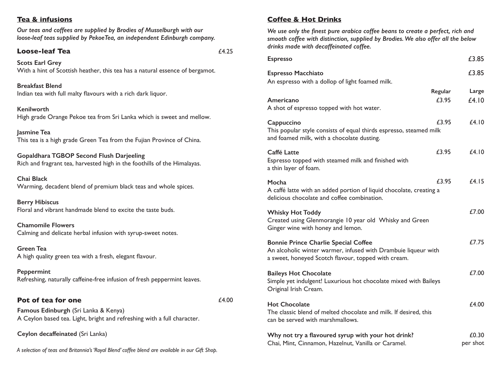## **Tea & infusions**

*Our teas and coffees are supplied by Brodies of Musselburgh with our loose-leaf teas supplied by PekoeTea, an independent Edinburgh company.*

## **Loose-leaf Tea**

**Scots Earl Grey** With a hint of Scottish heather, this tea has a natural essence of bergamot.

**Breakfast Blend** Indian tea with full malty flavours with a rich dark liquor.

**Kenilworth** High grade Orange Pekoe tea from Sri Lanka which is sweet and mellow.

**Jasmine Tea** This tea is a high grade Green Tea from the Fujian Province of China.

**Gopaldhara TGBOP Second Flush Darjeeling** Rich and fragrant tea, harvested high in the foothills of the Himalayas.

**Chai Black** Warming, decadent blend of premium black teas and whole spices.

**Berry Hibiscus** Floral and vibrant handmade blend to excite the taste buds.

**Chamomile Flowers** Calming and delicate herbal infusion with syrup-sweet notes.

**Green Tea** A high quality green tea with a fresh, elegant flavour.

**Peppermint** Refreshing, naturally caffeine-free infusion of fresh peppermint leaves.

## **Pot of tea for one**

£4.00

£4.25

**Famous Edinburgh** (Sri Lanka & Kenya) A Ceylon based tea. Light, bright and refreshing with a full character.

**Ceylon decaffeinated** (Sri Lanka)

*A selection of teas and Britannia's 'Royal Blend' coffee blend are available in our Gift Shop.*

## **Coffee & Hot Drinks**

*We use only the finest pure arabica coffee beans to create a perfect, rich and smooth coffee with distinction, supplied by Brodies. We also offer all the below drinks made with decaffeinated coffee.*

| <b>Espresso</b>                                                                                                                                                      | £3.85             |
|----------------------------------------------------------------------------------------------------------------------------------------------------------------------|-------------------|
| <b>Espresso Macchiato</b><br>An espresso with a dollop of light foamed milk.                                                                                         | £3.85             |
| Regular<br>£3.95<br>Americano<br>A shot of espresso topped with hot water.                                                                                           | Large<br>£4.10    |
| £3.95<br>Cappuccino<br>This popular style consists of equal thirds espresso, steamed milk<br>and foamed milk, with a chocolate dusting.                              | £4.10             |
| £3.95<br>Caffé Latte<br>Espresso topped with steamed milk and finished with<br>a thin layer of foam.                                                                 | £4.10             |
| £3.95<br>Mocha<br>A caffé latte with an added portion of liquid chocolate, creating a<br>delicious chocolate and coffee combination.                                 | £4.15             |
| <b>Whisky Hot Toddy</b><br>Created using Glenmorangie 10 year old Whisky and Green<br>Ginger wine with honey and lemon.                                              | £7.00             |
| <b>Bonnie Prince Charlie Special Coffee</b><br>An alcoholic winter warmer, infused with Drambuie liqueur with<br>a sweet, honeyed Scotch flavour, topped with cream. | £7.75             |
| <b>Baileys Hot Chocolate</b><br>Simple yet indulgent! Luxurious hot chocolate mixed with Baileys<br>Original Irish Cream.                                            | £7.00             |
| <b>Hot Chocolate</b><br>The classic blend of melted chocolate and milk. If desired, this<br>can be served with marshmallows.                                         | £4.00             |
| Why not try a flavoured syrup with your hot drink?<br>Chai, Mint, Cinnamon, Hazelnut, Vanilla or Caramel.                                                            | £0.30<br>per shot |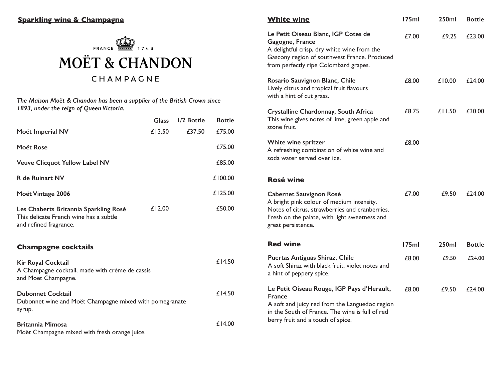

*The Maison Moët & Chandon has been a supplier of the British Crown since 1893, under the reign of Queen Victoria.*

|                                                                                                           | <b>Glass</b> | 1/2 Bottle | <b>Bottle</b> |
|-----------------------------------------------------------------------------------------------------------|--------------|------------|---------------|
| Moët Imperial NV                                                                                          | £13.50       | £37.50     | £75.00        |
| Moët Rose                                                                                                 |              |            | £75.00        |
| <b>Veuve Clicquot Yellow Label NV</b>                                                                     |              |            | £85.00        |
| <b>R</b> de Ruinart NV                                                                                    |              |            | £100.00       |
| Moët Vintage 2006                                                                                         |              |            | £125.00       |
| Les Chaberts Britannia Sparkling Rosé<br>This delicate French wine has a subtle<br>and refined fragrance. | £12.00       |            | £50.00        |
| <b>Champagne cocktails</b>                                                                                |              |            |               |
| <b>Kir Royal Cocktail</b><br>A Champagne cocktail, made with crème de cassis<br>and Moët Champagne.       |              |            | £14.50        |
| <b>Dubonnet Cocktail</b><br>Dubonnet wine and Moët Champagne mixed with pomegranate<br>syrup.             |              |            | £14.50        |
| <b>Britannia Mimosa</b><br>Moët Champagne mixed with fresh orange juice.                                  |              |            | £14.00        |

| <b>White wine</b>                                                                                                                                                                                     | 175ml  | 250ml  | <b>Bottle</b> |
|-------------------------------------------------------------------------------------------------------------------------------------------------------------------------------------------------------|--------|--------|---------------|
| Le Petit Oiseau Blanc, IGP Cotes de<br>Gagogne, France<br>A delightful crisp, dry white wine from the<br>Gascony region of southwest France. Produced<br>from perfectly ripe Colombard grapes.        | £7.00  | £9.25  | £23.00        |
| Rosario Sauvignon Blanc, Chile<br>Lively citrus and tropical fruit flavours<br>with a hint of cut grass.                                                                                              | £8.00  | £10.00 | £24.00        |
| Crystalline Chardonnay, South Africa<br>This wine gives notes of lime, green apple and<br>stone fruit.                                                                                                | £8.75  | £11.50 | £30.00        |
| White wine spritzer<br>A refreshing combination of white wine and<br>soda water served over ice.                                                                                                      | £8.00  |        |               |
| <b>Rosé wine</b>                                                                                                                                                                                      |        |        |               |
| <b>Cabernet Sauvignon Rosé</b><br>A bright pink colour of medium intensity.<br>Notes of citrus, strawberries and cranberries.<br>Fresh on the palate, with light sweetness and<br>great persistence.  | £7.00  | £9.50  | £24.00        |
| <b>Red wine</b>                                                                                                                                                                                       | l 75ml | 250ml  | <b>Bottle</b> |
| Puertas Antiguas Shiraz, Chile<br>A soft Shiraz with black fruit, violet notes and<br>a hint of peppery spice.                                                                                        | £8.00  | £9.50  | £24.00        |
| Le Petit Oiseau Rouge, IGP Pays d'Herault,<br><b>France</b><br>A soft and juicy red from the Languedoc region<br>in the South of France. The wine is full of red<br>berry fruit and a touch of spice. | £8.00  | £9.50  | £24.00        |